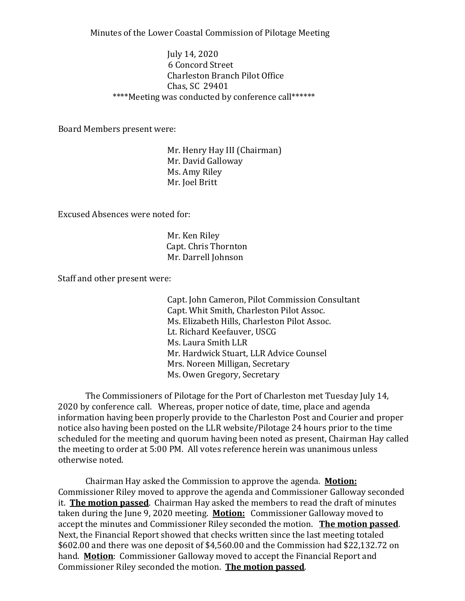Minutes of the Lower Coastal Commission of Pilotage Meeting

July 14, 2020 6 Concord Street Charleston Branch Pilot Office Chas, SC 29401 \*\*\*\*Meeting was conducted by conference call\*\*\*\*\*\*

Board Members present were:

Mr. Henry Hay III (Chairman) Mr. David Galloway Ms. Amy Riley Mr. Joel Britt

Excused Absences were noted for:

Mr. Ken Riley Capt. Chris Thornton Mr. Darrell Johnson

Staff and other present were:

Capt. John Cameron, Pilot Commission Consultant Capt. Whit Smith, Charleston Pilot Assoc. Ms. Elizabeth Hills, Charleston Pilot Assoc. Lt. Richard Keefauver, USCG Ms. Laura Smith LLR Mr. Hardwick Stuart, LLR Advice Counsel Mrs. Noreen Milligan, Secretary Ms. Owen Gregory, Secretary

The Commissioners of Pilotage for the Port of Charleston met Tuesday July 14, 2020 by conference call. Whereas, proper notice of date, time, place and agenda information having been properly provide to the Charleston Post and Courier and proper notice also having been posted on the LLR website/Pilotage 24 hours prior to the time scheduled for the meeting and quorum having been noted as present, Chairman Hay called the meeting to order at 5:00 PM. All votes reference herein was unanimous unless otherwise noted.

Chairman Hay asked the Commission to approve the agenda. **Motion:** Commissioner Riley moved to approve the agenda and Commissioner Galloway seconded it. **The motion passed**. Chairman Hay asked the members to read the draft of minutes taken during the June 9, 2020 meeting. **Motion:** Commissioner Galloway moved to accept the minutes and Commissioner Riley seconded the motion. **The motion passed**. Next, the Financial Report showed that checks written since the last meeting totaled \$602.00 and there was one deposit of \$4,560.00 and the Commission had \$22,132.72 on hand. **Motion**: Commissioner Galloway moved to accept the Financial Report and Commissioner Riley seconded the motion. **The motion passed**.